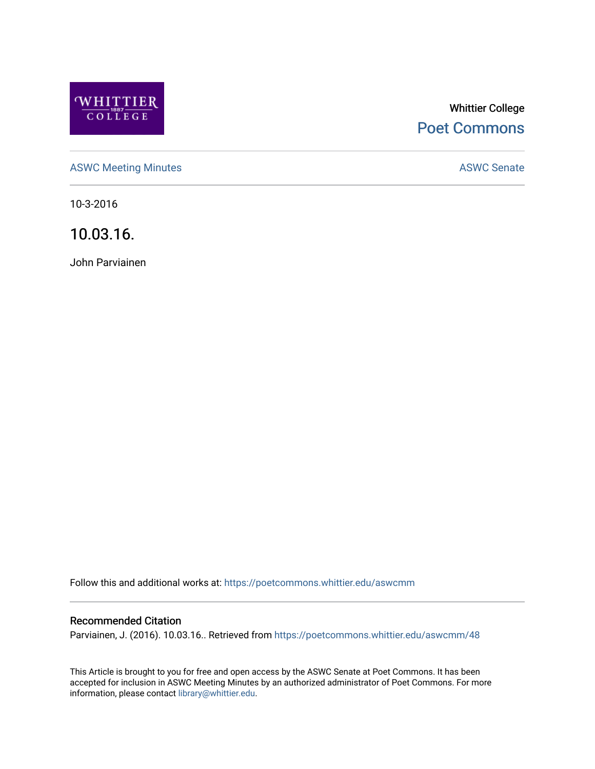

# Whittier College [Poet Commons](https://poetcommons.whittier.edu/)

[ASWC Meeting Minutes](https://poetcommons.whittier.edu/aswcmm) **ASWC Senate** 

10-3-2016

10.03.16.

John Parviainen

Follow this and additional works at: [https://poetcommons.whittier.edu/aswcmm](https://poetcommons.whittier.edu/aswcmm?utm_source=poetcommons.whittier.edu%2Faswcmm%2F48&utm_medium=PDF&utm_campaign=PDFCoverPages)

## Recommended Citation

Parviainen, J. (2016). 10.03.16.. Retrieved from [https://poetcommons.whittier.edu/aswcmm/48](https://poetcommons.whittier.edu/aswcmm/48?utm_source=poetcommons.whittier.edu%2Faswcmm%2F48&utm_medium=PDF&utm_campaign=PDFCoverPages)

This Article is brought to you for free and open access by the ASWC Senate at Poet Commons. It has been accepted for inclusion in ASWC Meeting Minutes by an authorized administrator of Poet Commons. For more information, please contact [library@whittier.edu.](mailto:library@whittier.edu)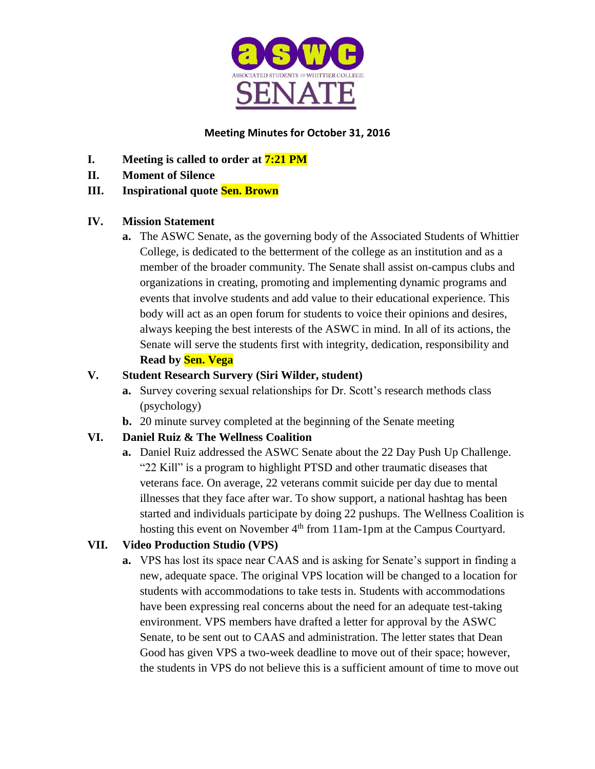

## **Meeting Minutes for October 31, 2016**

- **I. Meeting is called to order at 7:21 PM**
- **II. Moment of Silence**

## **III. Inspirational quote Sen. Brown**

## **IV. Mission Statement**

**a.** The ASWC Senate, as the governing body of the Associated Students of Whittier College, is dedicated to the betterment of the college as an institution and as a member of the broader community. The Senate shall assist on-campus clubs and organizations in creating, promoting and implementing dynamic programs and events that involve students and add value to their educational experience. This body will act as an open forum for students to voice their opinions and desires, always keeping the best interests of the ASWC in mind. In all of its actions, the Senate will serve the students first with integrity, dedication, responsibility and **Read by Sen. Vega**

## **V. Student Research Survery (Siri Wilder, student)**

- **a.** Survey covering sexual relationships for Dr. Scott's research methods class (psychology)
- **b.** 20 minute survey completed at the beginning of the Senate meeting

# **VI. Daniel Ruiz & The Wellness Coalition**

**a.** Daniel Ruiz addressed the ASWC Senate about the 22 Day Push Up Challenge. "22 Kill" is a program to highlight PTSD and other traumatic diseases that veterans face. On average, 22 veterans commit suicide per day due to mental illnesses that they face after war. To show support, a national hashtag has been started and individuals participate by doing 22 pushups. The Wellness Coalition is hosting this event on November 4<sup>th</sup> from 11am-1pm at the Campus Courtyard.

# **VII. Video Production Studio (VPS)**

**a.** VPS has lost its space near CAAS and is asking for Senate's support in finding a new, adequate space. The original VPS location will be changed to a location for students with accommodations to take tests in. Students with accommodations have been expressing real concerns about the need for an adequate test-taking environment. VPS members have drafted a letter for approval by the ASWC Senate, to be sent out to CAAS and administration. The letter states that Dean Good has given VPS a two-week deadline to move out of their space; however, the students in VPS do not believe this is a sufficient amount of time to move out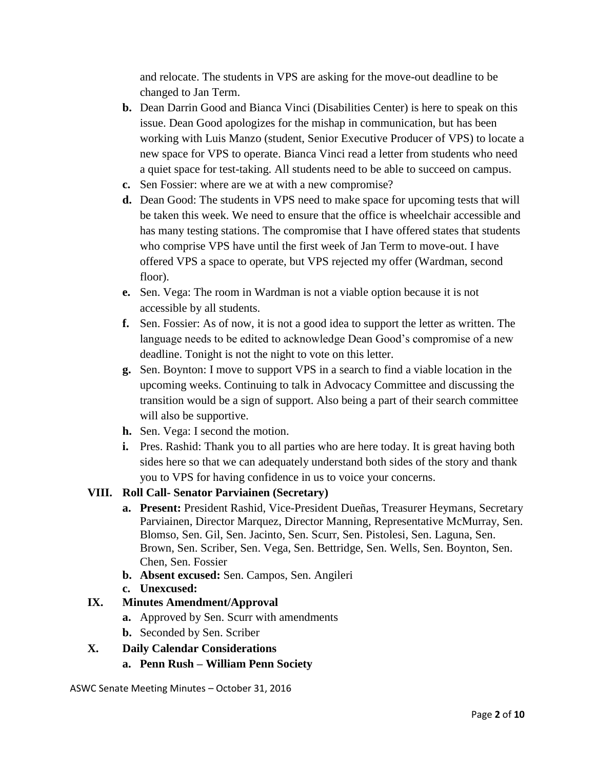and relocate. The students in VPS are asking for the move-out deadline to be changed to Jan Term.

- **b.** Dean Darrin Good and Bianca Vinci (Disabilities Center) is here to speak on this issue. Dean Good apologizes for the mishap in communication, but has been working with Luis Manzo (student, Senior Executive Producer of VPS) to locate a new space for VPS to operate. Bianca Vinci read a letter from students who need a quiet space for test-taking. All students need to be able to succeed on campus.
- **c.** Sen Fossier: where are we at with a new compromise?
- **d.** Dean Good: The students in VPS need to make space for upcoming tests that will be taken this week. We need to ensure that the office is wheelchair accessible and has many testing stations. The compromise that I have offered states that students who comprise VPS have until the first week of Jan Term to move-out. I have offered VPS a space to operate, but VPS rejected my offer (Wardman, second floor).
- **e.** Sen. Vega: The room in Wardman is not a viable option because it is not accessible by all students.
- **f.** Sen. Fossier: As of now, it is not a good idea to support the letter as written. The language needs to be edited to acknowledge Dean Good's compromise of a new deadline. Tonight is not the night to vote on this letter.
- **g.** Sen. Boynton: I move to support VPS in a search to find a viable location in the upcoming weeks. Continuing to talk in Advocacy Committee and discussing the transition would be a sign of support. Also being a part of their search committee will also be supportive.
- **h.** Sen. Vega: I second the motion.
- **i.** Pres. Rashid: Thank you to all parties who are here today. It is great having both sides here so that we can adequately understand both sides of the story and thank you to VPS for having confidence in us to voice your concerns.

# **VIII. Roll Call- Senator Parviainen (Secretary)**

- **a. Present:** President Rashid, Vice-President Dueñas, Treasurer Heymans, Secretary Parviainen, Director Marquez, Director Manning, Representative McMurray, Sen. Blomso, Sen. Gil, Sen. Jacinto, Sen. Scurr, Sen. Pistolesi, Sen. Laguna, Sen. Brown, Sen. Scriber, Sen. Vega, Sen. Bettridge, Sen. Wells, Sen. Boynton, Sen. Chen, Sen. Fossier
- **b. Absent excused:** Sen. Campos, Sen. Angileri
- **c. Unexcused:**

# **IX. Minutes Amendment/Approval**

- **a.** Approved by Sen. Scurr with amendments
- **b.** Seconded by Sen. Scriber
- **X. Daily Calendar Considerations**
	- **a. Penn Rush – William Penn Society**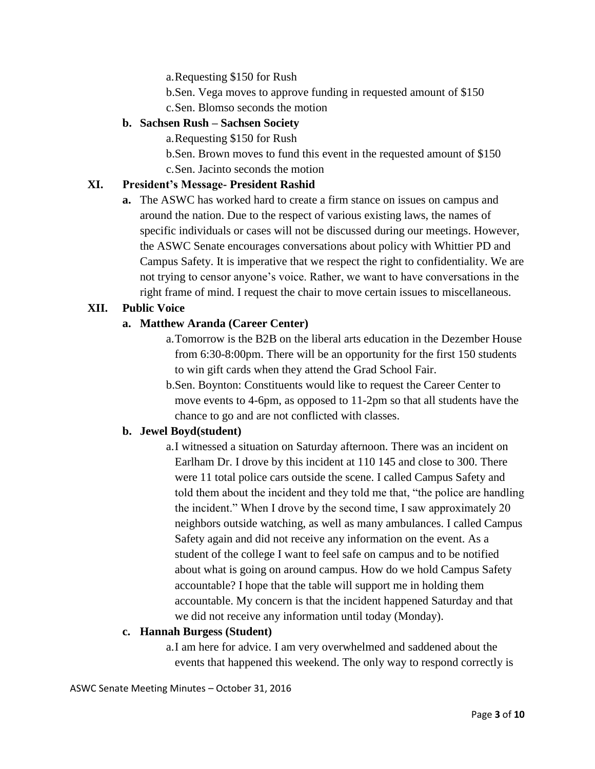a.Requesting \$150 for Rush

- b.Sen. Vega moves to approve funding in requested amount of \$150
- c.Sen. Blomso seconds the motion

### **b. Sachsen Rush – Sachsen Society**

a.Requesting \$150 for Rush

b.Sen. Brown moves to fund this event in the requested amount of \$150 c.Sen. Jacinto seconds the motion

## **XI. President's Message- President Rashid**

**a.** The ASWC has worked hard to create a firm stance on issues on campus and around the nation. Due to the respect of various existing laws, the names of specific individuals or cases will not be discussed during our meetings. However, the ASWC Senate encourages conversations about policy with Whittier PD and Campus Safety. It is imperative that we respect the right to confidentiality. We are not trying to censor anyone's voice. Rather, we want to have conversations in the right frame of mind. I request the chair to move certain issues to miscellaneous.

## **XII. Public Voice**

### **a. Matthew Aranda (Career Center)**

- a.Tomorrow is the B2B on the liberal arts education in the Dezember House from 6:30-8:00pm. There will be an opportunity for the first 150 students to win gift cards when they attend the Grad School Fair.
- b.Sen. Boynton: Constituents would like to request the Career Center to move events to 4-6pm, as opposed to 11-2pm so that all students have the chance to go and are not conflicted with classes.

#### **b. Jewel Boyd(student)**

a.I witnessed a situation on Saturday afternoon. There was an incident on Earlham Dr. I drove by this incident at 110 145 and close to 300. There were 11 total police cars outside the scene. I called Campus Safety and told them about the incident and they told me that, "the police are handling the incident." When I drove by the second time, I saw approximately 20 neighbors outside watching, as well as many ambulances. I called Campus Safety again and did not receive any information on the event. As a student of the college I want to feel safe on campus and to be notified about what is going on around campus. How do we hold Campus Safety accountable? I hope that the table will support me in holding them accountable. My concern is that the incident happened Saturday and that we did not receive any information until today (Monday).

#### **c. Hannah Burgess (Student)**

a.I am here for advice. I am very overwhelmed and saddened about the events that happened this weekend. The only way to respond correctly is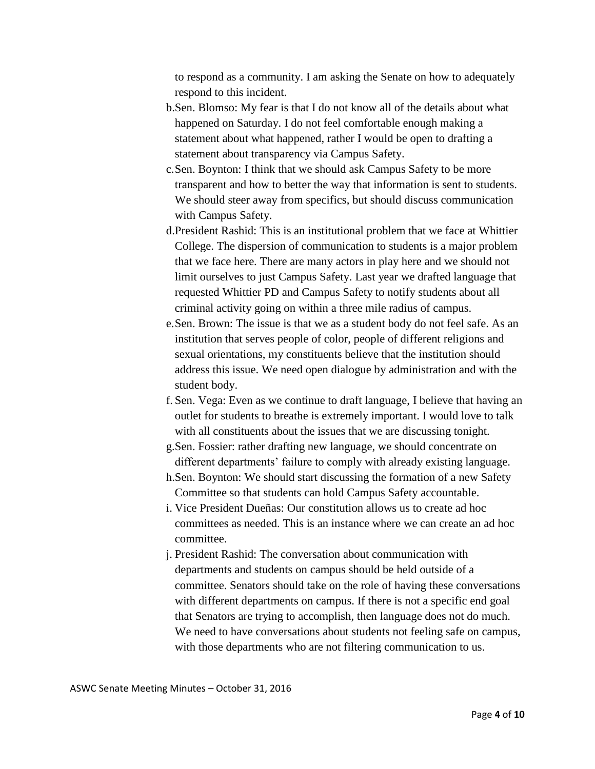to respond as a community. I am asking the Senate on how to adequately respond to this incident.

- b.Sen. Blomso: My fear is that I do not know all of the details about what happened on Saturday. I do not feel comfortable enough making a statement about what happened, rather I would be open to drafting a statement about transparency via Campus Safety.
- c.Sen. Boynton: I think that we should ask Campus Safety to be more transparent and how to better the way that information is sent to students. We should steer away from specifics, but should discuss communication with Campus Safety.
- d.President Rashid: This is an institutional problem that we face at Whittier College. The dispersion of communication to students is a major problem that we face here. There are many actors in play here and we should not limit ourselves to just Campus Safety. Last year we drafted language that requested Whittier PD and Campus Safety to notify students about all criminal activity going on within a three mile radius of campus.
- e.Sen. Brown: The issue is that we as a student body do not feel safe. As an institution that serves people of color, people of different religions and sexual orientations, my constituents believe that the institution should address this issue. We need open dialogue by administration and with the student body.
- f. Sen. Vega: Even as we continue to draft language, I believe that having an outlet for students to breathe is extremely important. I would love to talk with all constituents about the issues that we are discussing tonight.
- g.Sen. Fossier: rather drafting new language, we should concentrate on different departments' failure to comply with already existing language.
- h.Sen. Boynton: We should start discussing the formation of a new Safety Committee so that students can hold Campus Safety accountable.
- i. Vice President Dueñas: Our constitution allows us to create ad hoc committees as needed. This is an instance where we can create an ad hoc committee.
- j. President Rashid: The conversation about communication with departments and students on campus should be held outside of a committee. Senators should take on the role of having these conversations with different departments on campus. If there is not a specific end goal that Senators are trying to accomplish, then language does not do much. We need to have conversations about students not feeling safe on campus, with those departments who are not filtering communication to us.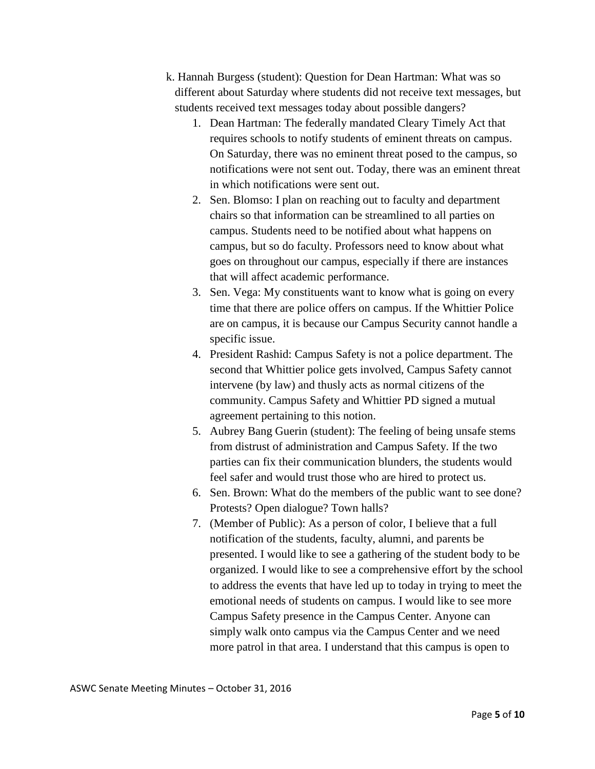- k. Hannah Burgess (student): Question for Dean Hartman: What was so different about Saturday where students did not receive text messages, but students received text messages today about possible dangers?
	- 1. Dean Hartman: The federally mandated Cleary Timely Act that requires schools to notify students of eminent threats on campus. On Saturday, there was no eminent threat posed to the campus, so notifications were not sent out. Today, there was an eminent threat in which notifications were sent out.
	- 2. Sen. Blomso: I plan on reaching out to faculty and department chairs so that information can be streamlined to all parties on campus. Students need to be notified about what happens on campus, but so do faculty. Professors need to know about what goes on throughout our campus, especially if there are instances that will affect academic performance.
	- 3. Sen. Vega: My constituents want to know what is going on every time that there are police offers on campus. If the Whittier Police are on campus, it is because our Campus Security cannot handle a specific issue.
	- 4. President Rashid: Campus Safety is not a police department. The second that Whittier police gets involved, Campus Safety cannot intervene (by law) and thusly acts as normal citizens of the community. Campus Safety and Whittier PD signed a mutual agreement pertaining to this notion.
	- 5. Aubrey Bang Guerin (student): The feeling of being unsafe stems from distrust of administration and Campus Safety. If the two parties can fix their communication blunders, the students would feel safer and would trust those who are hired to protect us.
	- 6. Sen. Brown: What do the members of the public want to see done? Protests? Open dialogue? Town halls?
	- 7. (Member of Public): As a person of color, I believe that a full notification of the students, faculty, alumni, and parents be presented. I would like to see a gathering of the student body to be organized. I would like to see a comprehensive effort by the school to address the events that have led up to today in trying to meet the emotional needs of students on campus. I would like to see more Campus Safety presence in the Campus Center. Anyone can simply walk onto campus via the Campus Center and we need more patrol in that area. I understand that this campus is open to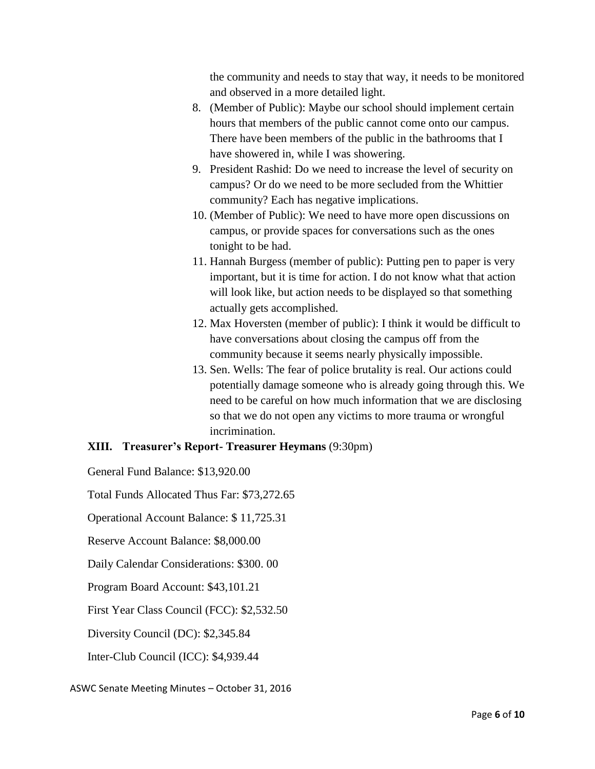the community and needs to stay that way, it needs to be monitored and observed in a more detailed light.

- 8. (Member of Public): Maybe our school should implement certain hours that members of the public cannot come onto our campus. There have been members of the public in the bathrooms that I have showered in, while I was showering.
- 9. President Rashid: Do we need to increase the level of security on campus? Or do we need to be more secluded from the Whittier community? Each has negative implications.
- 10. (Member of Public): We need to have more open discussions on campus, or provide spaces for conversations such as the ones tonight to be had.
- 11. Hannah Burgess (member of public): Putting pen to paper is very important, but it is time for action. I do not know what that action will look like, but action needs to be displayed so that something actually gets accomplished.
- 12. Max Hoversten (member of public): I think it would be difficult to have conversations about closing the campus off from the community because it seems nearly physically impossible.
- 13. Sen. Wells: The fear of police brutality is real. Our actions could potentially damage someone who is already going through this. We need to be careful on how much information that we are disclosing so that we do not open any victims to more trauma or wrongful incrimination.

## **XIII. Treasurer's Report- Treasurer Heymans** (9:30pm)

General Fund Balance: \$13,920.00

Total Funds Allocated Thus Far: \$73,272.65

Operational Account Balance: \$ 11,725.31

Reserve Account Balance: \$8,000.00

Daily Calendar Considerations: \$300. 00

Program Board Account: \$43,101.21

First Year Class Council (FCC): \$2,532.50

Diversity Council (DC): \$2,345.84

Inter-Club Council (ICC): \$4,939.44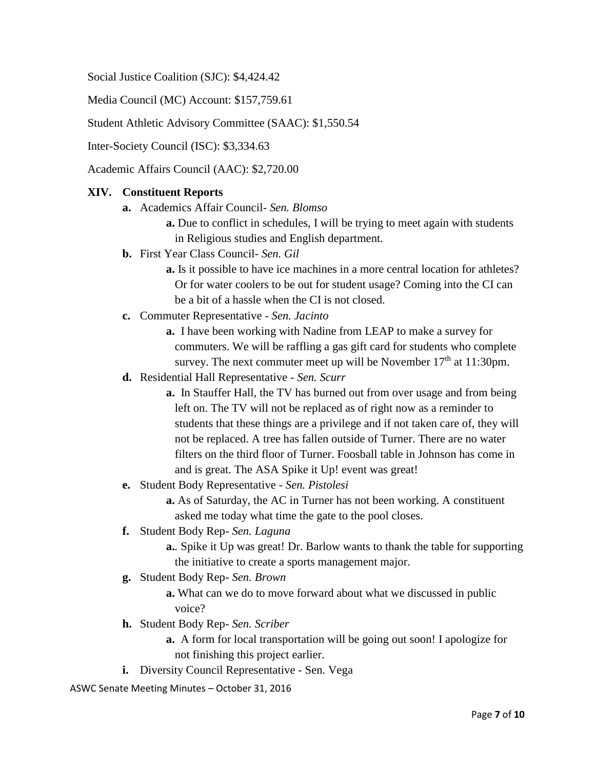Social Justice Coalition (SJC): \$4,424.42

Media Council (MC) Account: \$157,759.61

Student Athletic Advisory Committee (SAAC): \$1,550.54

Inter-Society Council (ISC): \$3,334.63

Academic Affairs Council (AAC): \$2,720.00

#### **XIV. Constituent Reports**

- **a.** Academics Affair Council- *Sen. Blomso* 
	- **a.** Due to conflict in schedules, I will be trying to meet again with students in Religious studies and English department.
- **b.** First Year Class Council- *Sen. Gil*
	- **a.** Is it possible to have ice machines in a more central location for athletes? Or for water coolers to be out for student usage? Coming into the CI can be a bit of a hassle when the CI is not closed.
- **c.** Commuter Representative *Sen. Jacinto*
	- **a.** I have been working with Nadine from LEAP to make a survey for commuters. We will be raffling a gas gift card for students who complete survey. The next commuter meet up will be November  $17<sup>th</sup>$  at  $11:30$ pm.
- **d.** Residential Hall Representative *Sen. Scurr*
	- **a.** In Stauffer Hall, the TV has burned out from over usage and from being left on. The TV will not be replaced as of right now as a reminder to students that these things are a privilege and if not taken care of, they will not be replaced. A tree has fallen outside of Turner. There are no water filters on the third floor of Turner. Foosball table in Johnson has come in and is great. The ASA Spike it Up! event was great!
- **e.** Student Body Representative *Sen. Pistolesi*
	- **a.** As of Saturday, the AC in Turner has not been working. A constituent asked me today what time the gate to the pool closes.
- **f.** Student Body Rep- *Sen. Laguna*
	- **a.***.* Spike it Up was great! Dr. Barlow wants to thank the table for supporting the initiative to create a sports management major.
- **g.** Student Body Rep- *Sen. Brown*
	- **a.** What can we do to move forward about what we discussed in public voice?
- **h.** Student Body Rep- *Sen. Scriber*
	- **a.** A form for local transportation will be going out soon! I apologize for not finishing this project earlier.
- **i.** Diversity Council Representative Sen. Vega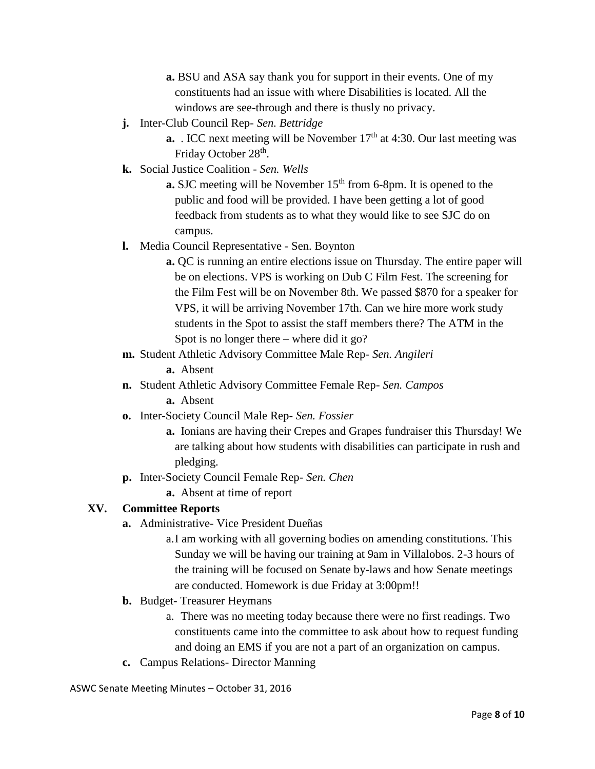**a.** BSU and ASA say thank you for support in their events. One of my constituents had an issue with where Disabilities is located. All the windows are see-through and there is thusly no privacy.

- **j.** Inter-Club Council Rep- *Sen. Bettridge*
	- **a.** . ICC next meeting will be November 17<sup>th</sup> at 4:30. Our last meeting was Friday October 28<sup>th</sup>.
- **k.** Social Justice Coalition *Sen. Wells*

**a.** SJC meeting will be November  $15<sup>th</sup>$  from 6-8pm. It is opened to the public and food will be provided. I have been getting a lot of good feedback from students as to what they would like to see SJC do on campus.

- **l.** Media Council Representative Sen. Boynton
	- **a.** QC is running an entire elections issue on Thursday. The entire paper will be on elections. VPS is working on Dub C Film Fest. The screening for the Film Fest will be on November 8th. We passed \$870 for a speaker for VPS, it will be arriving November 17th. Can we hire more work study students in the Spot to assist the staff members there? The ATM in the Spot is no longer there – where did it go?
- **m.** Student Athletic Advisory Committee Male Rep- *Sen. Angileri*
	- **a.** Absent
- **n.** Student Athletic Advisory Committee Female Rep- *Sen. Campos* **a.** Absent
- **o.** Inter-Society Council Male Rep- *Sen. Fossier*
	- **a.** Ionians are having their Crepes and Grapes fundraiser this Thursday! We are talking about how students with disabilities can participate in rush and pledging.
- **p.** Inter-Society Council Female Rep- *Sen. Chen*

**a.** Absent at time of report

#### **XV. Committee Reports**

- **a.** Administrative- Vice President Dueñas
	- a.I am working with all governing bodies on amending constitutions. This Sunday we will be having our training at 9am in Villalobos. 2-3 hours of the training will be focused on Senate by-laws and how Senate meetings are conducted. Homework is due Friday at 3:00pm!!
- **b.** Budget- Treasurer Heymans
	- a. There was no meeting today because there were no first readings. Two constituents came into the committee to ask about how to request funding and doing an EMS if you are not a part of an organization on campus.
- **c.** Campus Relations- Director Manning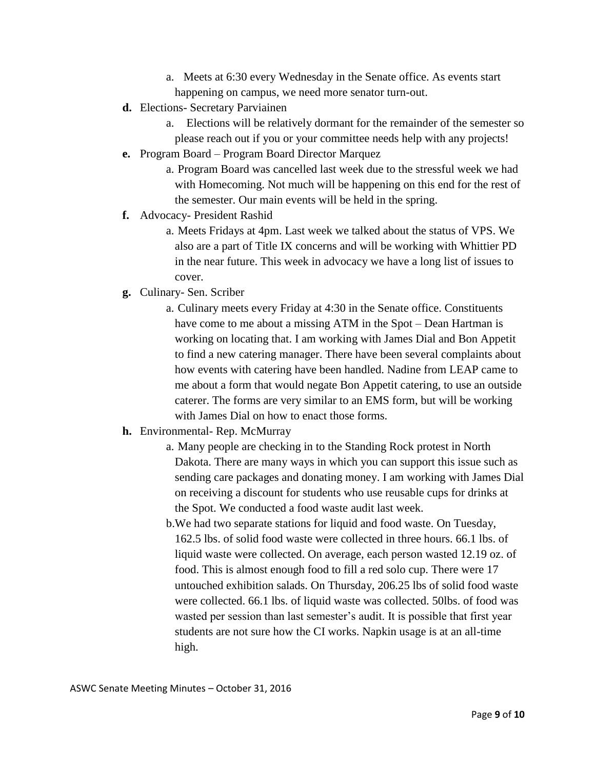- a. Meets at 6:30 every Wednesday in the Senate office. As events start happening on campus, we need more senator turn-out.
- **d.** Elections- Secretary Parviainen
	- a. Elections will be relatively dormant for the remainder of the semester so please reach out if you or your committee needs help with any projects!
- **e.** Program Board Program Board Director Marquez
	- a. Program Board was cancelled last week due to the stressful week we had with Homecoming. Not much will be happening on this end for the rest of the semester. Our main events will be held in the spring.
- **f.** Advocacy- President Rashid
	- a. Meets Fridays at 4pm. Last week we talked about the status of VPS. We also are a part of Title IX concerns and will be working with Whittier PD in the near future. This week in advocacy we have a long list of issues to cover.
- **g.** Culinary- Sen. Scriber
	- a. Culinary meets every Friday at 4:30 in the Senate office. Constituents have come to me about a missing ATM in the Spot – Dean Hartman is working on locating that. I am working with James Dial and Bon Appetit to find a new catering manager. There have been several complaints about how events with catering have been handled. Nadine from LEAP came to me about a form that would negate Bon Appetit catering, to use an outside caterer. The forms are very similar to an EMS form, but will be working with James Dial on how to enact those forms.

#### **h.** Environmental- Rep. McMurray

- a. Many people are checking in to the Standing Rock protest in North Dakota. There are many ways in which you can support this issue such as sending care packages and donating money. I am working with James Dial on receiving a discount for students who use reusable cups for drinks at the Spot. We conducted a food waste audit last week.
- b.We had two separate stations for liquid and food waste. On Tuesday, 162.5 lbs. of solid food waste were collected in three hours. 66.1 lbs. of liquid waste were collected. On average, each person wasted 12.19 oz. of food. This is almost enough food to fill a red solo cup. There were 17 untouched exhibition salads. On Thursday, 206.25 lbs of solid food waste were collected. 66.1 lbs. of liquid waste was collected. 50lbs. of food was wasted per session than last semester's audit. It is possible that first year students are not sure how the CI works. Napkin usage is at an all-time high.